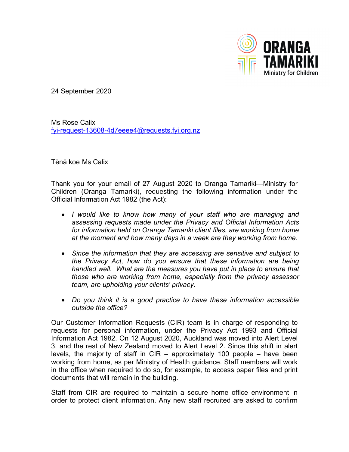

24 September 2020

Ms Rose Calix [fyi-request-13608-4d7eeee4@requests.fyi.org.nz](mailto:fyi-request-13608-4d7eeee4@requests.fyi.org.nz)

Tēnā koe Ms Calix

Thank you for your email of 27 August 2020 to Oranga Tamariki—Ministry for Children (Oranga Tamariki), requesting the following information under the Official Information Act 1982 (the Act):

- *I would like to know how many of your staff who are managing and assessing requests made under the Privacy and Official Information Acts for information held on Oranga Tamariki client files, are working from home at the moment and how many days in a week are they working from home.*
- *Since the information that they are accessing are sensitive and subject to the Privacy Act, how do you ensure that these information are being handled well. What are the measures you have put in place to ensure that those who are working from home, especially from the privacy assessor team, are upholding your clients' privacy.*
- *Do you think it is a good practice to have these information accessible outside the office?*

Our Customer Information Requests (CIR) team is in charge of responding to requests for personal information, under the Privacy Act 1993 and Official Information Act 1982. On 12 August 2020, Auckland was moved into Alert Level 3, and the rest of New Zealand moved to Alert Level 2. Since this shift in alert levels, the majority of staff in CIR – approximately 100 people – have been working from home, as per Ministry of Health guidance. Staff members will work in the office when required to do so, for example, to access paper files and print documents that will remain in the building.

Staff from CIR are required to maintain a secure home office environment in order to protect client information. Any new staff recruited are asked to confirm